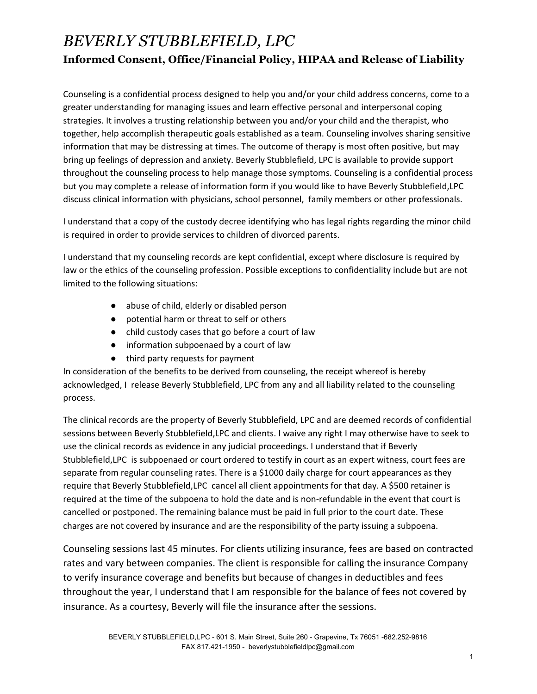## *BEVERLY STUBBLEFIELD, LPC* **Informed Consent, Office/Financial Policy, HIPAA and Release of Liability**

Counseling is a confidential process designed to help you and/or your child address concerns, come to a greater understanding for managing issues and learn effective personal and interpersonal coping strategies. It involves a trusting relationship between you and/or your child and the therapist, who together, help accomplish therapeutic goals established as a team. Counseling involves sharing sensitive information that may be distressing at times. The outcome of therapy is most often positive, but may bring up feelings of depression and anxiety. Beverly Stubblefield, LPC is available to provide support throughout the counseling process to help manage those symptoms. Counseling is a confidential process but you may complete a release of information form if you would like to have Beverly Stubblefield,LPC discuss clinical information with physicians, school personnel, family members or other professionals.

I understand that a copy of the custody decree identifying who has legal rights regarding the minor child is required in order to provide services to children of divorced parents.

I understand that my counseling records are kept confidential, except where disclosure is required by law or the ethics of the counseling profession. Possible exceptions to confidentiality include but are not limited to the following situations:

- abuse of child, elderly or disabled person
- potential harm or threat to self or others
- child custody cases that go before a court of law
- information subpoenaed by a court of law
- third party requests for payment

In consideration of the benefits to be derived from counseling, the receipt whereof is hereby acknowledged, I release Beverly Stubblefield, LPC from any and all liability related to the counseling process.

The clinical records are the property of Beverly Stubblefield, LPC and are deemed records of confidential sessions between Beverly Stubblefield,LPC and clients. I waive any right I may otherwise have to seek to use the clinical records as evidence in any judicial proceedings. I understand that if Beverly Stubblefield,LPC is subpoenaed or court ordered to testify in court as an expert witness, court fees are separate from regular counseling rates. There is a \$1000 daily charge for court appearances as they require that Beverly Stubblefield,LPC cancel all client appointments for that day. A \$500 retainer is required at the time of the subpoena to hold the date and is non-refundable in the event that court is cancelled or postponed. The remaining balance must be paid in full prior to the court date. These charges are not covered by insurance and are the responsibility of the party issuing a subpoena.

Counseling sessions last 45 minutes. For clients utilizing insurance, fees are based on contracted rates and vary between companies. The client is responsible for calling the insurance Company to verify insurance coverage and benefits but because of changes in deductibles and fees throughout the year, I understand that I am responsible for the balance of fees not covered by insurance. As a courtesy, Beverly will file the insurance after the sessions.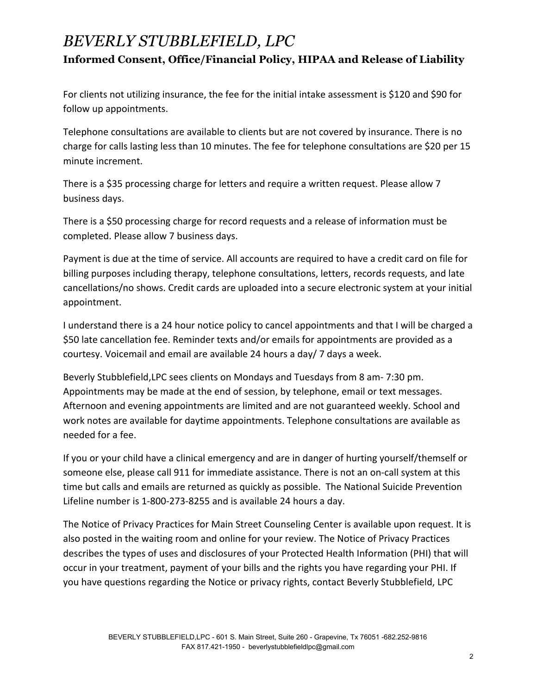## *BEVERLY STUBBLEFIELD, LPC* **Informed Consent, Office/Financial Policy, HIPAA and Release of Liability**

For clients not utilizing insurance, the fee for the initial intake assessment is \$120 and \$90 for follow up appointments.

Telephone consultations are available to clients but are not covered by insurance. There is no charge for calls lasting less than 10 minutes. The fee for telephone consultations are \$20 per 15 minute increment.

There is a \$35 processing charge for letters and require a written request. Please allow 7 business days.

There is a \$50 processing charge for record requests and a release of information must be completed. Please allow 7 business days.

Payment is due at the time of service. All accounts are required to have a credit card on file for billing purposes including therapy, telephone consultations, letters, records requests, and late cancellations/no shows. Credit cards are uploaded into a secure electronic system at your initial appointment.

I understand there is a 24 hour notice policy to cancel appointments and that I will be charged a \$50 late cancellation fee. Reminder texts and/or emails for appointments are provided as a courtesy. Voicemail and email are available 24 hours a day/ 7 days a week.

Beverly Stubblefield,LPC sees clients on Mondays and Tuesdays from 8 am- 7:30 pm. Appointments may be made at the end of session, by telephone, email or text messages. Afternoon and evening appointments are limited and are not guaranteed weekly. School and work notes are available for daytime appointments. Telephone consultations are available as needed for a fee.

If you or your child have a clinical emergency and are in danger of hurting yourself/themself or someone else, please call 911 for immediate assistance. There is not an on-call system at this time but calls and emails are returned as quickly as possible. The National Suicide Prevention Lifeline number is 1-800-273-8255 and is available 24 hours a day.

The Notice of Privacy Practices for Main Street Counseling Center is available upon request. It is also posted in the waiting room and online for your review. The Notice of Privacy Practices describes the types of uses and disclosures of your Protected Health Information (PHI) that will occur in your treatment, payment of your bills and the rights you have regarding your PHI. If you have questions regarding the Notice or privacy rights, contact Beverly Stubblefield, LPC